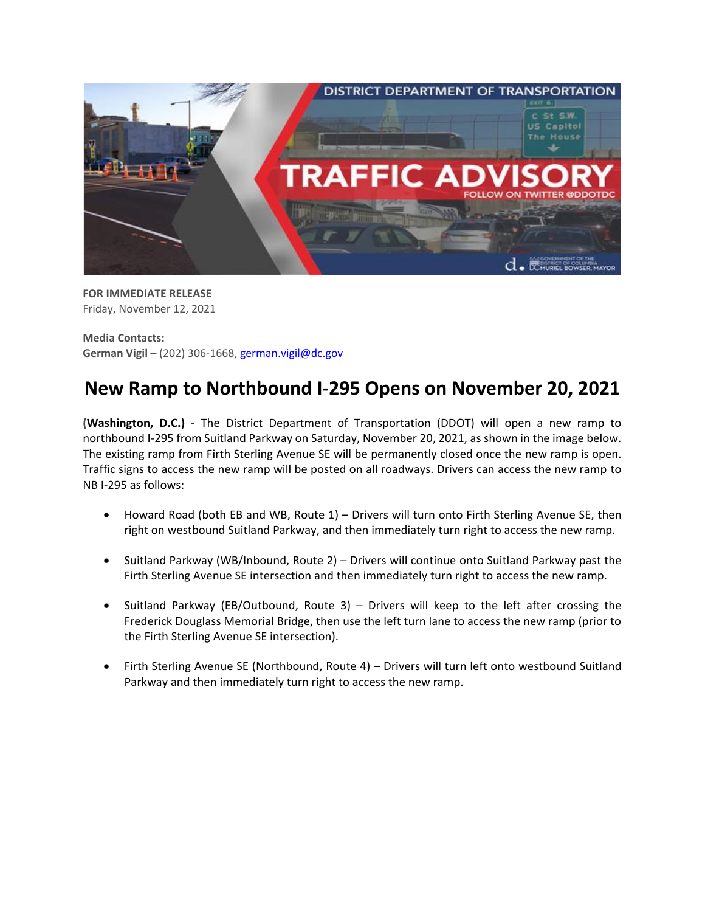

**FOR IMMEDIATE RELEASE** Friday, November 12, 2021

**Media Contacts: German Vigil –** (202) 306-1668, [german.vigil@dc.gov](mailto:german.vigil@dc.gov)

## **New Ramp to Northbound I-295 Opens on November 20, 2021**

**(Washington, D.C.)** - The District Department of Transportation (DDOT) will open a new ramp to northbound I-295 from Suitland Parkway on Saturday, November 20, 2021, as shown in the image below. The existing ramp from Firth Sterling Avenue SE will be permanently closed once the new ramp is open. Traffic signs to access the new ramp will be posted on all roadways. Drivers can access the new ramp to NB I-295 as follows:

- Howard Road (both EB and WB, Route 1) Drivers will turn onto Firth Sterling Avenue SE, then right on westbound Suitland Parkway, and then immediately turn right to access the new ramp.
- Suitland Parkway (WB/Inbound, Route 2) Drivers will continue onto Suitland Parkway past the Firth Sterling Avenue SE intersection and then immediately turn right to access the new ramp.
- Suitland Parkway (EB/Outbound, Route 3) Drivers will keep to the left after crossing the Frederick Douglass Memorial Bridge, then use the left turn lane to access the new ramp (prior to the Firth Sterling Avenue SE intersection).
- Firth Sterling Avenue SE (Northbound, Route 4) Drivers will turn left onto westbound Suitland Parkway and then immediately turn right to access the new ramp.